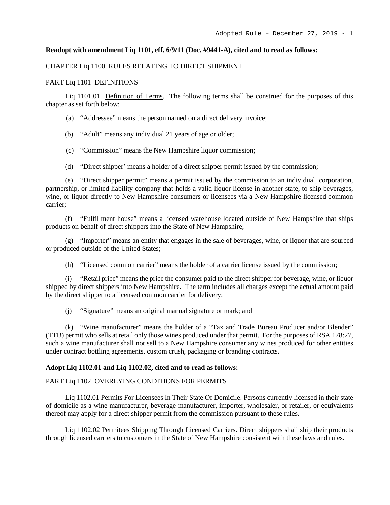### **Readopt with amendment Liq 1101, eff. 6/9/11 (Doc. #9441-A), cited and to read as follows:**

#### CHAPTER Liq 1100 RULES RELATING TO DIRECT SHIPMENT

#### PART Liq 1101 DEFINITIONS

Liq 1101.01 Definition of Terms. The following terms shall be construed for the purposes of this chapter as set forth below:

(a) "Addressee" means the person named on a direct delivery invoice;

(b) "Adult" means any individual 21 years of age or older;

(c) "Commission" means the New Hampshire liquor commission;

(d) "Direct shipper' means a holder of a direct shipper permit issued by the commission;

(e) "Direct shipper permit" means a permit issued by the commission to an individual, corporation, partnership, or limited liability company that holds a valid liquor license in another state, to ship beverages, wine, or liquor directly to New Hampshire consumers or licensees via a New Hampshire licensed common carrier;

(f) "Fulfillment house" means a licensed warehouse located outside of New Hampshire that ships products on behalf of direct shippers into the State of New Hampshire;

(g) "Importer" means an entity that engages in the sale of beverages, wine, or liquor that are sourced or produced outside of the United States;

(h) "Licensed common carrier" means the holder of a carrier license issued by the commission;

(i) "Retail price" means the price the consumer paid to the direct shipper for beverage, wine, or liquor shipped by direct shippers into New Hampshire. The term includes all charges except the actual amount paid by the direct shipper to a licensed common carrier for delivery;

(j) "Signature" means an original manual signature or mark; and

(k) "Wine manufacturer" means the holder of a "Tax and Trade Bureau Producer and/or Blender" (TTB) permit who sells at retail only those wines produced under that permit. For the purposes of RSA 178:27, such a wine manufacturer shall not sell to a New Hampshire consumer any wines produced for other entities under contract bottling agreements, custom crush, packaging or branding contracts.

#### **Adopt Liq 1102.01 and Liq 1102.02, cited and to read as follows:**

### PART Liq 1102 OVERLYING CONDITIONS FOR PERMITS

Liq 1102.01 Permits For Licensees In Their State Of Domicile. Persons currently licensed in their state of domicile as a wine manufacturer, beverage manufacturer, importer, wholesaler, or retailer, or equivalents thereof may apply for a direct shipper permit from the commission pursuant to these rules.

Liq 1102.02 Permitees Shipping Through Licensed Carriers. Direct shippers shall ship their products through licensed carriers to customers in the State of New Hampshire consistent with these laws and rules.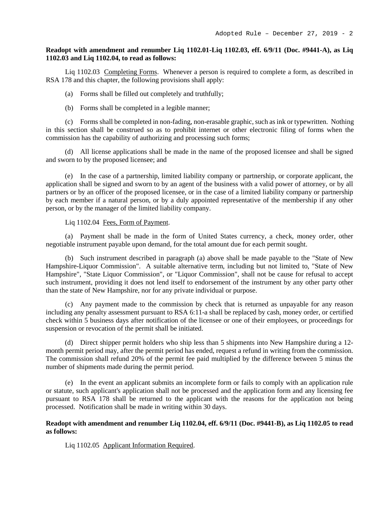## **Readopt with amendment and renumber Liq 1102.01-Liq 1102.03, eff. 6/9/11 (Doc. #9441-A), as Liq 1102.03 and Liq 1102.04, to read as follows:**

Liq 1102.03 Completing Forms. Whenever a person is required to complete a form, as described in RSA 178 and this chapter, the following provisions shall apply:

(a) Forms shall be filled out completely and truthfully;

(b) Forms shall be completed in a legible manner;

(c) Forms shall be completed in non-fading, non-erasable graphic,such as ink or typewritten. Nothing in this section shall be construed so as to prohibit internet or other electronic filing of forms when the commission has the capability of authorizing and processing such forms;

(d) All license applications shall be made in the name of the proposed licensee and shall be signed and sworn to by the proposed licensee; and

(e) In the case of a partnership, limited liability company or partnership, or corporate applicant, the application shall be signed and sworn to by an agent of the business with a valid power of attorney, or by all partners or by an officer of the proposed licensee, or in the case of a limited liability company or partnership by each member if a natural person, or by a duly appointed representative of the membership if any other person, or by the manager of the limited liability company.

# Liq 1102.04 Fees, Form of Payment.

(a) Payment shall be made in the form of United States currency, a check, money order, other negotiable instrument payable upon demand, for the total amount due for each permit sought.

(b) Such instrument described in paragraph (a) above shall be made payable to the "State of New Hampshire-Liquor Commission". A suitable alternative term, including but not limited to, "State of New Hampshire", "State Liquor Commission", or "Liquor Commission", shall not be cause for refusal to accept such instrument, providing it does not lend itself to endorsement of the instrument by any other party other than the state of New Hampshire, nor for any private individual or purpose.

(c) Any payment made to the commission by check that is returned as unpayable for any reason including any penalty assessment pursuant to RSA 6:11-a shall be replaced by cash, money order, or certified check within 5 business days after notification of the licensee or one of their employees, or proceedings for suspension or revocation of the permit shall be initiated.

(d) Direct shipper permit holders who ship less than 5 shipments into New Hampshire during a 12 month permit period may, after the permit period has ended, request a refund in writing from the commission. The commission shall refund 20% of the permit fee paid multiplied by the difference between 5 minus the number of shipments made during the permit period.

(e) In the event an applicant submits an incomplete form or fails to comply with an application rule or statute, such applicant's application shall not be processed and the application form and any licensing fee pursuant to RSA 178 shall be returned to the applicant with the reasons for the application not being processed. Notification shall be made in writing within 30 days.

# **Readopt with amendment and renumber Liq 1102.04, eff. 6/9/11 (Doc. #9441-B), as Liq 1102.05 to read as follows:**

Liq 1102.05 Applicant Information Required.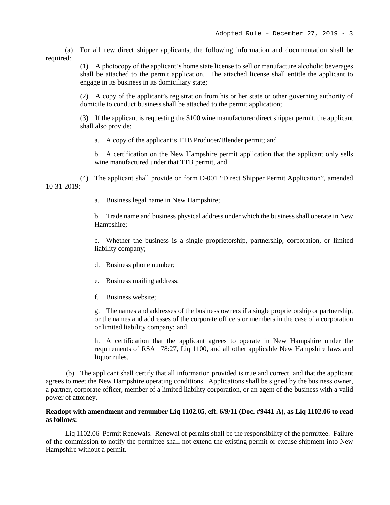(a) For all new direct shipper applicants, the following information and documentation shall be required:

> (1) A photocopy of the applicant's home state license to sell or manufacture alcoholic beverages shall be attached to the permit application. The attached license shall entitle the applicant to engage in its business in its domiciliary state;

> (2) A copy of the applicant's registration from his or her state or other governing authority of domicile to conduct business shall be attached to the permit application;

> (3) If the applicant is requesting the \$100 wine manufacturer direct shipper permit, the applicant shall also provide:

a. A copy of the applicant's TTB Producer/Blender permit; and

b. A certification on the New Hampshire permit application that the applicant only sells wine manufactured under that TTB permit, and

(4) The applicant shall provide on form D-001 "Direct Shipper Permit Application", amended  $10-31-2019$ 

a. Business legal name in New Hampshire;

b. Trade name and business physical address under which the business shall operate in New Hampshire;

c. Whether the business is a single proprietorship, partnership, corporation, or limited liability company;

- d. Business phone number;
- e. Business mailing address;
- f. Business website;

g. The names and addresses of the business owners if a single proprietorship or partnership, or the names and addresses of the corporate officers or members in the case of a corporation or limited liability company; and

h. A certification that the applicant agrees to operate in New Hampshire under the requirements of RSA 178:27, Liq 1100, and all other applicable New Hampshire laws and liquor rules.

(b) The applicant shall certify that all information provided is true and correct, and that the applicant agrees to meet the New Hampshire operating conditions. Applications shall be signed by the business owner, a partner, corporate officer, member of a limited liability corporation, or an agent of the business with a valid power of attorney.

# **Readopt with amendment and renumber Liq 1102.05, eff. 6/9/11 (Doc. #9441-A), as Liq 1102.06 to read as follows:**

Liq 1102.06 Permit Renewals. Renewal of permits shall be the responsibility of the permittee. Failure of the commission to notify the permittee shall not extend the existing permit or excuse shipment into New Hampshire without a permit.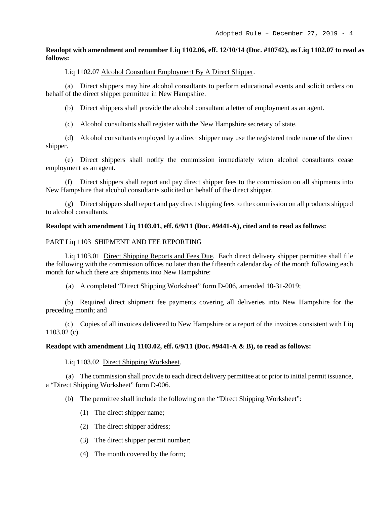## **Readopt with amendment and renumber Liq 1102.06, eff. 12/10/14 (Doc. #10742), as Liq 1102.07 to read as follows:**

# Liq 1102.07 Alcohol Consultant Employment By A Direct Shipper.

(a) Direct shippers may hire alcohol consultants to perform educational events and solicit orders on behalf of the direct shipper permittee in New Hampshire.

(b) Direct shippers shall provide the alcohol consultant a letter of employment as an agent.

(c) Alcohol consultants shall register with the New Hampshire secretary of state.

(d) Alcohol consultants employed by a direct shipper may use the registered trade name of the direct shipper.

(e) Direct shippers shall notify the commission immediately when alcohol consultants cease employment as an agent.

(f) Direct shippers shall report and pay direct shipper fees to the commission on all shipments into New Hampshire that alcohol consultants solicited on behalf of the direct shipper.

(g) Direct shippers shall report and pay direct shipping fees to the commission on all products shipped to alcohol consultants.

## **Readopt with amendment Liq 1103.01, eff. 6/9/11 (Doc. #9441-A), cited and to read as follows:**

## PART Liq 1103 SHIPMENT AND FEE REPORTING

Liq 1103.01 Direct Shipping Reports and Fees Due. Each direct delivery shipper permittee shall file the following with the commission offices no later than the fifteenth calendar day of the month following each month for which there are shipments into New Hampshire:

(a) A completed "Direct Shipping Worksheet" form D-006, amended 10-31-2019;

(b) Required direct shipment fee payments covering all deliveries into New Hampshire for the preceding month; and

(c) Copies of all invoices delivered to New Hampshire or a report of the invoices consistent with Liq 1103.02 (c).

# **Readopt with amendment Liq 1103.02, eff. 6/9/11 (Doc. #9441-A & B), to read as follows:**

Liq 1103.02 Direct Shipping Worksheet.

(a) The commission shall provide to each direct delivery permittee at or prior to initial permit issuance, a "Direct Shipping Worksheet" form D-006.

(b) The permittee shall include the following on the "Direct Shipping Worksheet":

- (1) The direct shipper name;
- (2) The direct shipper address;
- (3) The direct shipper permit number;
- (4) The month covered by the form;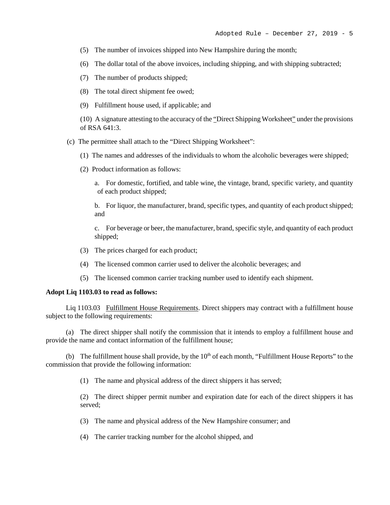- (5) The number of invoices shipped into New Hampshire during the month;
- (6) The dollar total of the above invoices, including shipping, and with shipping subtracted;
- (7) The number of products shipped;
- (8) The total direct shipment fee owed;
- (9) Fulfillment house used, if applicable; and

(10) A signature attesting to the accuracy of the "Direct Shipping Worksheet" under the provisions of RSA 641:3.

- (c) The permittee shall attach to the "Direct Shipping Worksheet":
	- (1) The names and addresses of the individuals to whom the alcoholic beverages were shipped;
	- (2) Product information as follows:
		- a. For domestic, fortified, and table wine, the vintage, brand, specific variety, and quantity of each product shipped;

b. For liquor, the manufacturer, brand, specific types, and quantity of each product shipped; and

c. For beverage or beer, the manufacturer, brand, specific style, and quantity of each product shipped;

- (3) The prices charged for each product;
- (4) The licensed common carrier used to deliver the alcoholic beverages; and
- (5) The licensed common carrier tracking number used to identify each shipment.

#### **Adopt Liq 1103.03 to read as follows:**

Liq 1103.03 Fulfillment House Requirements. Direct shippers may contract with a fulfillment house subject to the following requirements:

(a) The direct shipper shall notify the commission that it intends to employ a fulfillment house and provide the name and contact information of the fulfillment house;

(b) The fulfillment house shall provide, by the  $10<sup>th</sup>$  of each month, "Fulfillment House Reports" to the commission that provide the following information:

(1) The name and physical address of the direct shippers it has served;

(2) The direct shipper permit number and expiration date for each of the direct shippers it has served;

- (3) The name and physical address of the New Hampshire consumer; and
- (4) The carrier tracking number for the alcohol shipped, and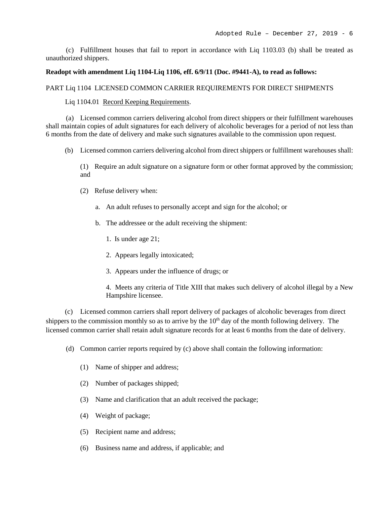(c) Fulfillment houses that fail to report in accordance with Liq 1103.03 (b) shall be treated as unauthorized shippers.

### **Readopt with amendment Liq 1104-Liq 1106, eff. 6/9/11 (Doc. #9441-A), to read as follows:**

### PART Liq 1104 LICENSED COMMON CARRIER REQUIREMENTS FOR DIRECT SHIPMENTS

Liq 1104.01 Record Keeping Requirements.

(a) Licensed common carriers delivering alcohol from direct shippers or their fulfillment warehouses shall maintain copies of adult signatures for each delivery of alcoholic beverages for a period of not less than 6 months from the date of delivery and make such signatures available to the commission upon request.

(b) Licensed common carriers delivering alcohol from direct shippers or fulfillment warehouses shall:

(1) Require an adult signature on a signature form or other format approved by the commission; and

- (2) Refuse delivery when:
	- a. An adult refuses to personally accept and sign for the alcohol; or
	- b. The addressee or the adult receiving the shipment:
		- 1. Is under age 21;
		- 2. Appears legally intoxicated;
		- 3. Appears under the influence of drugs; or
		- 4. Meets any criteria of Title XIII that makes such delivery of alcohol illegal by a New Hampshire licensee.

(c) Licensed common carriers shall report delivery of packages of alcoholic beverages from direct shippers to the commission monthly so as to arrive by the  $10<sup>th</sup>$  day of the month following delivery. The licensed common carrier shall retain adult signature records for at least 6 months from the date of delivery.

- (d) Common carrier reports required by (c) above shall contain the following information:
	- (1) Name of shipper and address;
	- (2) Number of packages shipped;
	- (3) Name and clarification that an adult received the package;
	- (4) Weight of package;
	- (5) Recipient name and address;
	- (6) Business name and address, if applicable; and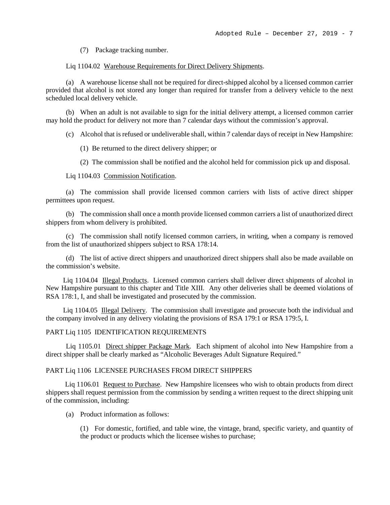(7) Package tracking number.

#### Liq 1104.02 Warehouse Requirements for Direct Delivery Shipments.

(a) A warehouse license shall not be required for direct-shipped alcohol by a licensed common carrier provided that alcohol is not stored any longer than required for transfer from a delivery vehicle to the next scheduled local delivery vehicle.

(b) When an adult is not available to sign for the initial delivery attempt, a licensed common carrier may hold the product for delivery not more than 7 calendar days without the commission's approval.

(c) Alcohol that is refused or undeliverable shall, within 7 calendar days of receipt in New Hampshire:

(1) Be returned to the direct delivery shipper; or

(2) The commission shall be notified and the alcohol held for commission pick up and disposal.

Liq 1104.03 Commission Notification.

(a) The commission shall provide licensed common carriers with lists of active direct shipper permittees upon request.

(b) The commission shall once a month provide licensed common carriers a list of unauthorized direct shippers from whom delivery is prohibited.

(c) The commission shall notify licensed common carriers, in writing, when a company is removed from the list of unauthorized shippers subject to RSA 178:14.

(d) The list of active direct shippers and unauthorized direct shippers shall also be made available on the commission's website.

Liq 1104.04 Illegal Products. Licensed common carriers shall deliver direct shipments of alcohol in New Hampshire pursuant to this chapter and Title XIII. Any other deliveries shall be deemed violations of RSA 178:1, I, and shall be investigated and prosecuted by the commission.

Liq 1104.05 Illegal Delivery. The commission shall investigate and prosecute both the individual and the company involved in any delivery violating the provisions of RSA 179:1 or RSA 179:5, I.

### PART Liq 1105 IDENTIFICATION REQUIREMENTS

Liq 1105.01 Direct shipper Package Mark. Each shipment of alcohol into New Hampshire from a direct shipper shall be clearly marked as "Alcoholic Beverages Adult Signature Required."

#### PART Liq 1106 LICENSEE PURCHASES FROM DIRECT SHIPPERS

Liq 1106.01 Request to Purchase. New Hampshire licensees who wish to obtain products from direct shippers shall request permission from the commission by sending a written request to the direct shipping unit of the commission, including:

(a) Product information as follows:

(1) For domestic, fortified, and table wine, the vintage, brand, specific variety, and quantity of the product or products which the licensee wishes to purchase;